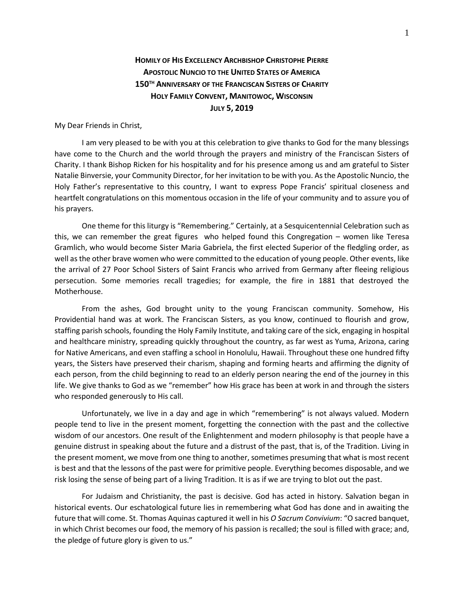## **HOMILY OF HIS EXCELLENCY ARCHBISHOP CHRISTOPHE PIERRE APOSTOLIC NUNCIO TO THE UNITED STATES OF AMERICA 150TH ANNIVERSARY OF THE FRANCISCAN SISTERS OF CHARITY HOLY FAMILY CONVENT, MANITOWOC, WISCONSIN JULY 5, 2019**

My Dear Friends in Christ,

I am very pleased to be with you at this celebration to give thanks to God for the many blessings have come to the Church and the world through the prayers and ministry of the Franciscan Sisters of Charity. I thank Bishop Ricken for his hospitality and for his presence among us and am grateful to Sister Natalie Binversie, your Community Director, for her invitation to be with you. As the Apostolic Nuncio, the Holy Father's representative to this country, I want to express Pope Francis' spiritual closeness and heartfelt congratulations on this momentous occasion in the life of your community and to assure you of his prayers.

One theme for this liturgy is "Remembering." Certainly, at a Sesquicentennial Celebration such as this, we can remember the great figures who helped found this Congregation – women like Teresa Gramlich, who would become Sister Maria Gabriela, the first elected Superior of the fledgling order, as well as the other brave women who were committed to the education of young people. Other events, like the arrival of 27 Poor School Sisters of Saint Francis who arrived from Germany after fleeing religious persecution. Some memories recall tragedies; for example, the fire in 1881 that destroyed the Motherhouse.

From the ashes, God brought unity to the young Franciscan community. Somehow, His Providential hand was at work. The Franciscan Sisters, as you know, continued to flourish and grow, staffing parish schools, founding the Holy Family Institute, and taking care of the sick, engaging in hospital and healthcare ministry, spreading quickly throughout the country, as far west as Yuma, Arizona, caring for Native Americans, and even staffing a school in Honolulu, Hawaii. Throughout these one hundred fifty years, the Sisters have preserved their charism, shaping and forming hearts and affirming the dignity of each person, from the child beginning to read to an elderly person nearing the end of the journey in this life. We give thanks to God as we "remember" how His grace has been at work in and through the sisters who responded generously to His call.

Unfortunately, we live in a day and age in which "remembering" is not always valued. Modern people tend to live in the present moment, forgetting the connection with the past and the collective wisdom of our ancestors. One result of the Enlightenment and modern philosophy is that people have a genuine distrust in speaking about the future and a distrust of the past, that is, of the Tradition. Living in the present moment, we move from one thing to another, sometimes presuming that what is most recent is best and that the lessons of the past were for primitive people. Everything becomes disposable, and we risk losing the sense of being part of a living Tradition. It is as if we are trying to blot out the past.

For Judaism and Christianity, the past is decisive. God has acted in history. Salvation began in historical events. Our eschatological future lies in remembering what God has done and in awaiting the future that will come. St. Thomas Aquinas captured it well in his *O Sacrum Convivium*: "O sacred banquet, in which Christ becomes our food, the memory of his passion is recalled; the soul is filled with grace; and, the pledge of future glory is given to us."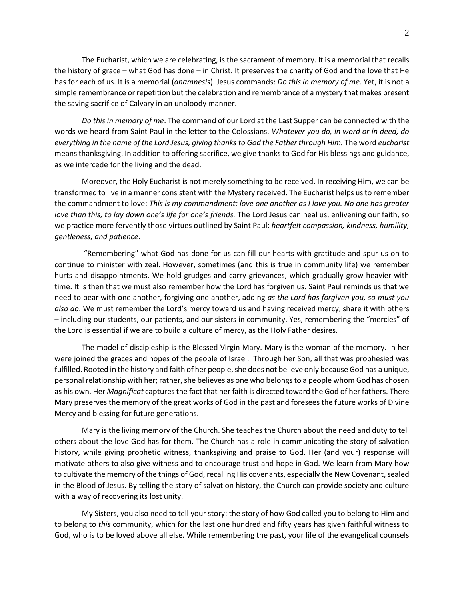The Eucharist, which we are celebrating, is the sacrament of memory. It is a memorial that recalls the history of grace – what God has done – in Christ. It preserves the charity of God and the love that He has for each of us. It is a memorial (*anamnesis*). Jesus commands: *Do this in memory of me*. Yet, it is not a simple remembrance or repetition but the celebration and remembrance of a mystery that makes present the saving sacrifice of Calvary in an unbloody manner.

*Do this in memory of me*. The command of our Lord at the Last Supper can be connected with the words we heard from Saint Paul in the letter to the Colossians. *Whatever you do, in word or in deed, do everything in the name of the Lord Jesus, giving thanks to God the Father through Him.* The word *eucharist* means thanksgiving. In addition to offering sacrifice, we give thanks to God for His blessings and guidance, as we intercede for the living and the dead.

Moreover, the Holy Eucharist is not merely something to be received. In receiving Him, we can be transformed to live in a manner consistent with the Mystery received. The Eucharist helps us to remember the commandment to love: *This is my commandment: love one another as I love you. No one has greater love than this, to lay down one's life for one's friends.* The Lord Jesus can heal us, enlivening our faith, so we practice more fervently those virtues outlined by Saint Paul: *heartfelt compassion, kindness, humility, gentleness, and patience*.

"Remembering" what God has done for us can fill our hearts with gratitude and spur us on to continue to minister with zeal. However, sometimes (and this is true in community life) we remember hurts and disappointments. We hold grudges and carry grievances, which gradually grow heavier with time. It is then that we must also remember how the Lord has forgiven us. Saint Paul reminds us that we need to bear with one another, forgiving one another, adding *as the Lord has forgiven you, so must you also do*. We must remember the Lord's mercy toward us and having received mercy, share it with others – including our students, our patients, and our sisters in community. Yes, remembering the "mercies" of the Lord is essential if we are to build a culture of mercy, as the Holy Father desires.

The model of discipleship is the Blessed Virgin Mary. Mary is the woman of the memory. In her were joined the graces and hopes of the people of Israel. Through her Son, all that was prophesied was fulfilled. Rooted in the history and faith of her people, she does not believe only because God has a unique, personal relationship with her; rather, she believes as one who belongs to a people whom God has chosen as his own. Her *Magnificat* captures the fact that her faith is directed toward the God of her fathers. There Mary preserves the memory of the great works of God in the past and foresees the future works of Divine Mercy and blessing for future generations.

Mary is the living memory of the Church. She teaches the Church about the need and duty to tell others about the love God has for them. The Church has a role in communicating the story of salvation history, while giving prophetic witness, thanksgiving and praise to God. Her (and your) response will motivate others to also give witness and to encourage trust and hope in God. We learn from Mary how to cultivate the memory of the things of God, recalling His covenants, especially the New Covenant, sealed in the Blood of Jesus. By telling the story of salvation history, the Church can provide society and culture with a way of recovering its lost unity.

My Sisters, you also need to tell your story: the story of how God called you to belong to Him and to belong to *this* community, which for the last one hundred and fifty years has given faithful witness to God, who is to be loved above all else. While remembering the past, your life of the evangelical counsels